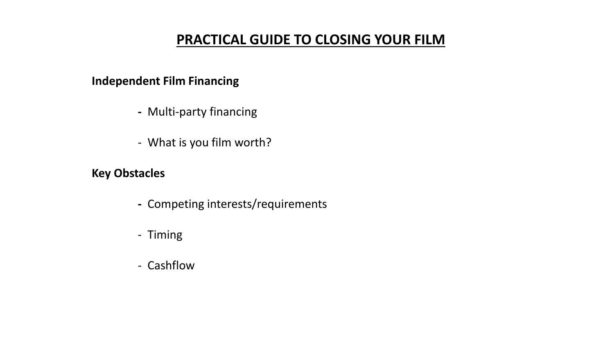## **PRACTICAL GUIDE TO CLOSING YOUR FILM**

### **Independent Film Financing**

- **-** Multi-party financing
- What is you film worth?

## **Key Obstacles**

- **-** Competing interests/requirements
- Timing
- Cashflow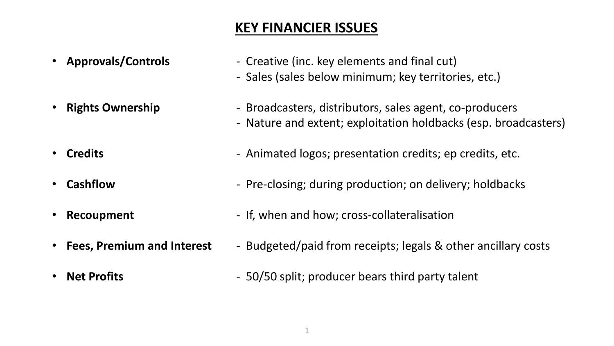# **KEY FINANCIER ISSUES**

- 
- 
- 
- 
- 
- 
- 
- **Approvals/Controls Creative (inc. key elements and final cut)** 
	- Sales (sales below minimum; key territories, etc.)
- **Rights Ownership Broadcasters, distributors, sales agent, co-producers** - Nature and extent; exploitation holdbacks (esp. broadcasters)
- **Credits Credits 1988 1988 1988 1988 1988 1988 10. Interpretation credits; epidencial credits, etc.**
- **Cashflow Pre-closing; during production; on delivery; holdbacks**
- **Recoupment** If, when and how; cross-collateralisation
- Fees, Premium and Interest Budgeted/paid from receipts; legals & other ancillary costs
- **Net Profits 50/50 split**; producer bears third party talent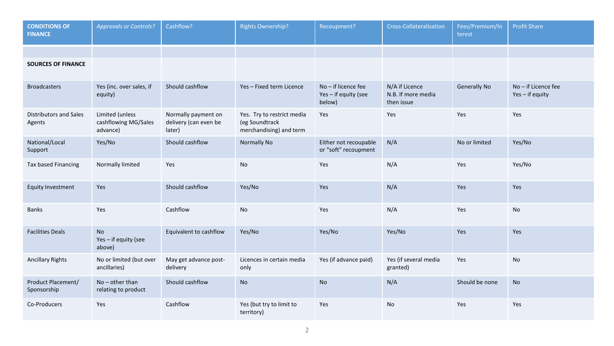| <b>CONDITIONS OF</b><br><b>FINANCE</b>  | <b>Approvals or Controls?</b>                       | Cashflow?                                              | <b>Rights Ownership?</b>                                                | Recoupment?                                         | <b>Cross-Collateralisation</b>                     | Fees/Premium/In<br>terest | <b>Profit Share</b>                    |
|-----------------------------------------|-----------------------------------------------------|--------------------------------------------------------|-------------------------------------------------------------------------|-----------------------------------------------------|----------------------------------------------------|---------------------------|----------------------------------------|
|                                         |                                                     |                                                        |                                                                         |                                                     |                                                    |                           |                                        |
| <b>SOURCES OF FINANCE</b>               |                                                     |                                                        |                                                                         |                                                     |                                                    |                           |                                        |
| <b>Broadcasters</b>                     | Yes (inc. over sales, if<br>equity)                 | Should cashflow                                        | Yes-Fixed term Licence                                                  | No-if licence fee<br>Yes - if equity (see<br>below) | N/A if Licence<br>N.B. If more media<br>then issue | <b>Generally No</b>       | No - if Licence fee<br>Yes - if equity |
| <b>Distributors and Sales</b><br>Agents | Limited (unless<br>cashflowing MG/Sales<br>advance) | Normally payment on<br>delivery (can even be<br>later) | Yes. Try to restrict media<br>(eg Soundtrack<br>merchandising) and term | Yes                                                 | Yes                                                | Yes                       | Yes                                    |
| National/Local<br>Support               | Yes/No                                              | Should cashflow                                        | Normally No                                                             | Either not recoupable<br>or "soft" recoupment       | N/A                                                | No or limited             | Yes/No                                 |
| Tax based Financing                     | Normally limited                                    | Yes                                                    | No                                                                      | Yes                                                 | N/A                                                | Yes                       | Yes/No                                 |
| <b>Equity Investment</b>                | Yes                                                 | Should cashflow                                        | Yes/No                                                                  | Yes                                                 | N/A                                                | Yes                       | Yes                                    |
| <b>Banks</b>                            | Yes                                                 | Cashflow                                               | No                                                                      | Yes                                                 | N/A                                                | Yes                       | No                                     |
| <b>Facilities Deals</b>                 | <b>No</b><br>Yes - if equity (see<br>above)         | Equivalent to cashflow                                 | Yes/No                                                                  | Yes/No                                              | Yes/No                                             | Yes                       | Yes                                    |
| <b>Ancillary Rights</b>                 | No or limited (but over<br>ancillaries)             | May get advance post-<br>delivery                      | Licences in certain media<br>only                                       | Yes (if advance paid)                               | Yes (if several media<br>granted)                  | Yes                       | <b>No</b>                              |
| Product Placement/<br>Sponsorship       | $No$ – other than<br>relating to product            | Should cashflow                                        | <b>No</b>                                                               | <b>No</b>                                           | N/A                                                | Should be none            | <b>No</b>                              |
| Co-Producers                            | Yes                                                 | Cashflow                                               | Yes (but try to limit to<br>territory)                                  | Yes                                                 | No                                                 | Yes                       | Yes                                    |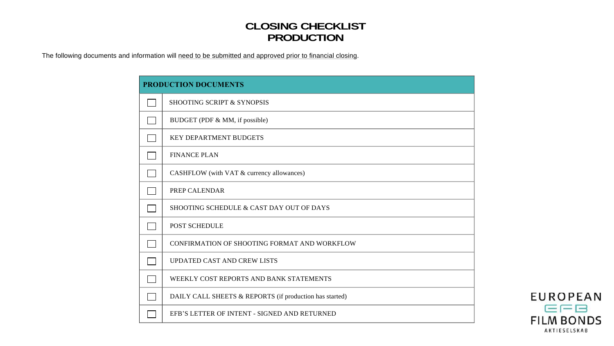#### **CLOSING CHECKLIST PRODUCTION**

| <b>CLOSING CHECKLIST</b><br><b>PRODUCTION</b><br>The following documents and information will need to be submitted and approved prior to financial closing. |
|-------------------------------------------------------------------------------------------------------------------------------------------------------------|
| PRODUCTION DOCUMENTS                                                                                                                                        |
| SHOOTING SCRIPT & SYNOPSIS                                                                                                                                  |
| BUDGET (PDF & MM, if possible)                                                                                                                              |
| KEY DEPARTMENT BUDGETS                                                                                                                                      |
| <b>FINANCE PLAN</b>                                                                                                                                         |
| CASHFLOW (with VAT & currency allowances)                                                                                                                   |
| PREP CALENDAR                                                                                                                                               |
| ┌──┐<br>SHOOTING SCHEDULE & CAST DAY OUT OF DAYS                                                                                                            |
| POST SCHEDULE                                                                                                                                               |
| CONFIRMATION OF SHOOTING FORMAT AND WORKFLOW                                                                                                                |
| UPDATED CAST AND CREW LISTS                                                                                                                                 |
| WEEKLY COST REPORTS AND BANK STATEMENTS                                                                                                                     |
| DAILY CALL SHEETS & REPORTS (if production has started)                                                                                                     |
| EFB'S LETTER OF INTENT - SIGNED AND RETURNED                                                                                                                |
|                                                                                                                                                             |